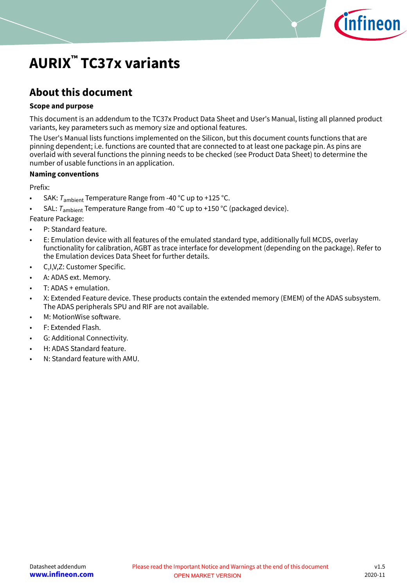

# <span id="page-0-0"></span>**AURIX™ TC37x variants**

## **About this document**

#### **Scope and purpose**

This document is an addendum to the TC37x Product Data Sheet and User's Manual, listing all planned product variants, key parameters such as memory size and optional features.

The User's Manual lists functions implemented on the Silicon, but this document counts functions that are pinning dependent; i.e. functions are counted that are connected to at least one package pin. As pins are overlaid with several functions the pinning needs to be checked (see Product Data Sheet) to determine the number of usable functions in an application.

#### **Naming conventions**

Prefix:

- SAK:  $T_{\text{ambient}}$  Temperature Range from -40 °C up to +125 °C.
- SAL:  $T_{\text{ambient}}$  Temperature Range from -40 °C up to +150 °C (packaged device).

Feature Package:

- P: Standard feature.
- E: Emulation device with all features of the emulated standard type, additionally full MCDS, overlay functionality for calibration, AGBT as trace interface for development (depending on the package). Refer to the Emulation devices Data Sheet for further details.
- C,I,V,Z: Customer Specific.
- A: ADAS ext. Memory.
- T: ADAS + emulation.
- X: Extended Feature device. These products contain the extended memory (EMEM) of the ADAS subsystem. The ADAS peripherals SPU and RIF are not available.
- M: MotionWise software.
- F: Extended Flash.
- G: Additional Connectivity.
- H: ADAS Standard feature.
- N: Standard feature with AMU.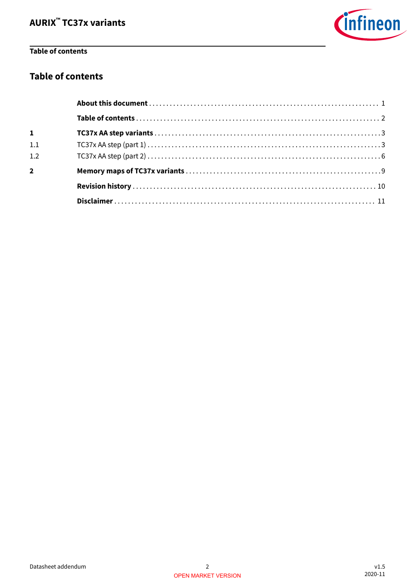

## **Table of contents**

### **Table of contents**

| $\mathbf{1}$   |  |
|----------------|--|
| 1.1            |  |
| 1.2            |  |
| $\overline{2}$ |  |
|                |  |
|                |  |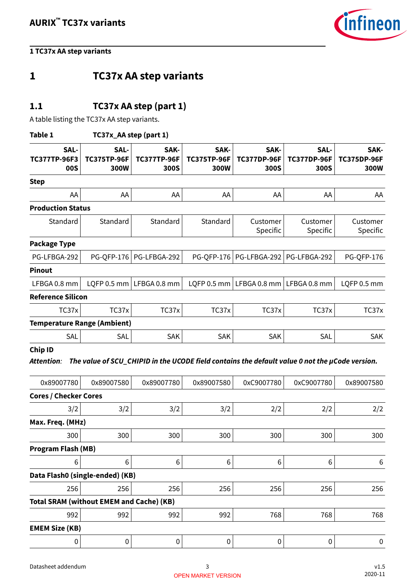

## <span id="page-2-0"></span>**1 TC37x AA step variants**

### **1.1 TC37x AA step (part 1)**

A table listing the TC37x AA step variants.

#### **Table 1 TC37x\_AA step (part 1)**

| SAL-<br><b>TC377TP-96F3</b><br>00S | SAL-<br><b>TC375TP-96F</b><br>300W | SAK-<br><b>TC377TP-96F</b><br>300S | SAK-<br><b>TC375TP-96F</b><br>300W | SAK-<br><b>TC377DP-96F</b><br>300S | SAL-<br><b>TC377DP-96F</b><br>300S | SAK-<br><b>TC375DP-96F</b><br>300W |
|------------------------------------|------------------------------------|------------------------------------|------------------------------------|------------------------------------|------------------------------------|------------------------------------|
| <b>Step</b>                        |                                    |                                    |                                    |                                    |                                    |                                    |
| AA                                 | AA                                 | AA                                 | AA                                 | AA                                 | AA                                 | AA                                 |
| <b>Production Status</b>           |                                    |                                    |                                    |                                    |                                    |                                    |
| Standard                           | Standard                           | Standard                           | Standard                           | Customer<br>Specific               | Customer<br>Specific               | Customer<br><b>Specific</b>        |
| Package Type                       |                                    |                                    |                                    |                                    |                                    |                                    |
| PG-LFBGA-292                       | <b>PG-QFP-176</b>                  | PG-LFBGA-292                       | PG-QFP-176                         | PG-LFBGA-292                       | PG-LFBGA-292                       | <b>PG-QFP-176</b>                  |
| Pinout                             |                                    |                                    |                                    |                                    |                                    |                                    |
| LFBGA 0.8 mm                       | LQFP $0.5$ mm                      | LFBGA 0.8 mm                       | LQFP 0.5 mm                        | LFBGA 0.8 mm                       | LFBGA 0.8 mm                       | LQFP 0.5 mm                        |
| <b>Reference Silicon</b>           |                                    |                                    |                                    |                                    |                                    |                                    |
| TC37x                              | TC37x                              | TC37x                              | TC37x                              | TC37x                              | TC37x                              | TC37x                              |
| <b>Temperature Range (Ambient)</b> |                                    |                                    |                                    |                                    |                                    |                                    |
| SAL                                | <b>SAL</b>                         | <b>SAK</b>                         | <b>SAK</b>                         | SAK                                | SAL                                | <b>SAK</b>                         |

**Chip ID**

#### **Attention**: **The value of SCU\_CHIPID in the UCODE field contains the default value 0 not the µCode version.**

| 0x89007780                                      | 0x89007580 | 0x89007780 | 0x89007580 | 0xC9007780 | 0xC9007780 | 0x89007580 |
|-------------------------------------------------|------------|------------|------------|------------|------------|------------|
| <b>Cores / Checker Cores</b>                    |            |            |            |            |            |            |
| 3/2                                             | 3/2        | 3/2        | 3/2        | 2/2        | 2/2        | 2/2        |
| Max. Freq. (MHz)                                |            |            |            |            |            |            |
| 300                                             | 300        | 300        | 300        | 300        | 300        | 300        |
| <b>Program Flash (MB)</b>                       |            |            |            |            |            |            |
| 6                                               | 6          | 6          | 6          | 6          | 6          | 6          |
| Data Flash0 (single-ended) (KB)                 |            |            |            |            |            |            |
| 256                                             | 256        | 256        | 256        | 256        | 256        | 256        |
| <b>Total SRAM (without EMEM and Cache) (KB)</b> |            |            |            |            |            |            |
| 992                                             | 992        | 992        | 992        | 768        | 768        | 768        |
| <b>EMEM Size (KB)</b>                           |            |            |            |            |            |            |
| 0                                               | 0          | 0          | 0          | 0          | 0          | $\Omega$   |
|                                                 |            |            |            |            |            |            |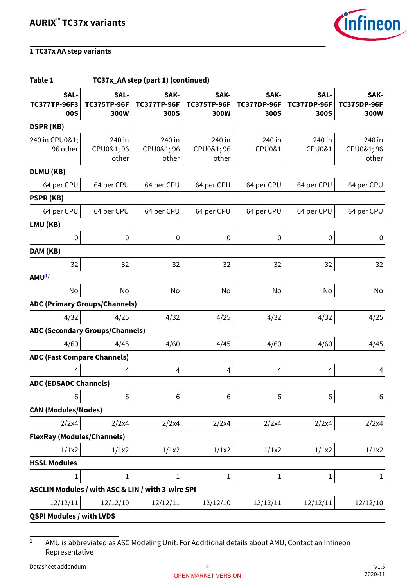

| Table 1<br>TC37x_AA step (part 1) (continued)     |                                    |                                    |                                    |                                    |                                    |                                    |
|---------------------------------------------------|------------------------------------|------------------------------------|------------------------------------|------------------------------------|------------------------------------|------------------------------------|
| SAL-<br><b>TC377TP-96F3</b><br><b>00S</b>         | SAL-<br><b>TC375TP-96F</b><br>300W | SAK-<br><b>TC377TP-96F</b><br>300S | SAK-<br><b>TC375TP-96F</b><br>300W | SAK-<br><b>TC377DP-96F</b><br>300S | SAL-<br><b>TC377DP-96F</b><br>300S | SAK-<br><b>TC375DP-96F</b><br>300W |
| <b>DSPR (KB)</b>                                  |                                    |                                    |                                    |                                    |                                    |                                    |
| 240 in CPU0&1;<br>96 other                        | 240 in<br>CPU0&1; 96<br>other      | 240 in<br>CPU0&1; 96<br>other      | 240 in<br>CPU0&1; 96<br>other      | 240 in<br>CPU0&1                   | 240 in<br>CPU0&1                   | 240 in<br>CPU0&1; 96<br>other      |
| DLMU (KB)                                         |                                    |                                    |                                    |                                    |                                    |                                    |
| 64 per CPU                                        | 64 per CPU                         | 64 per CPU                         | 64 per CPU                         | 64 per CPU                         | 64 per CPU                         | 64 per CPU                         |
| PSPR (KB)                                         |                                    |                                    |                                    |                                    |                                    |                                    |
| 64 per CPU                                        | 64 per CPU                         | 64 per CPU                         | 64 per CPU                         | 64 per CPU                         | 64 per CPU                         | 64 per CPU                         |
| LMU (KB)                                          |                                    |                                    |                                    |                                    |                                    |                                    |
| $\pmb{0}$                                         | $\pmb{0}$                          | $\pmb{0}$                          | $\pmb{0}$                          | $\pmb{0}$                          | $\pmb{0}$                          | $\pmb{0}$                          |
| DAM (KB)                                          |                                    |                                    |                                    |                                    |                                    |                                    |
| 32                                                | 32                                 | 32                                 | 32                                 | 32                                 | 32                                 | 32                                 |
| AMU <sup>1)</sup>                                 |                                    |                                    |                                    |                                    |                                    |                                    |
| No                                                | No                                 | No                                 | No                                 | No                                 | No                                 | No                                 |
| <b>ADC (Primary Groups/Channels)</b>              |                                    |                                    |                                    |                                    |                                    |                                    |
| 4/32                                              | 4/25                               | 4/32                               | 4/25                               | 4/32                               | 4/32                               | 4/25                               |
| <b>ADC (Secondary Groups/Channels)</b>            |                                    |                                    |                                    |                                    |                                    |                                    |
| 4/60                                              | 4/45                               | 4/60                               | 4/45                               | 4/60                               | 4/60                               | 4/45                               |
| <b>ADC (Fast Compare Channels)</b>                |                                    |                                    |                                    |                                    |                                    |                                    |
| 4                                                 | 4                                  | 4                                  | 4                                  | $\overline{4}$                     | 4                                  | 4                                  |
| <b>ADC (EDSADC Channels)</b>                      |                                    |                                    |                                    |                                    |                                    |                                    |
| 6                                                 | 6                                  | 6                                  | 6                                  | $\,$ 6                             | 6                                  | $\,6\,$                            |
| <b>CAN (Modules/Nodes)</b>                        |                                    |                                    |                                    |                                    |                                    |                                    |
| 2/2x4                                             | 2/2x4                              | 2/2x4                              | 2/2x4                              | 2/2x4                              | 2/2x4                              | 2/2x4                              |
| <b>FlexRay (Modules/Channels)</b>                 |                                    |                                    |                                    |                                    |                                    |                                    |
| 1/1x2                                             | 1/1x2                              | 1/1x2                              | 1/1x2                              | 1/1x2                              | 1/1x2                              | 1/1x2                              |
| <b>HSSL Modules</b>                               |                                    |                                    |                                    |                                    |                                    |                                    |
| 1                                                 | 1                                  | $\mathbf{1}$                       | $\mathbf 1$                        | $\mathbf{1}$                       | $\mathbf{1}$                       | $\mathbf{1}$                       |
| ASCLIN Modules / with ASC & LIN / with 3-wire SPI |                                    |                                    |                                    |                                    |                                    |                                    |
| 12/12/11                                          | 12/12/10                           | 12/12/11                           | 12/12/10                           | 12/12/11                           | 12/12/11                           | 12/12/10                           |
| <b>QSPI Modules / with LVDS</b>                   |                                    |                                    |                                    |                                    |                                    |                                    |

 $\overline{1}$  AMU is abbreviated as ASC Modeling Unit. For Additional details about AMU, Contact an Infineon Representative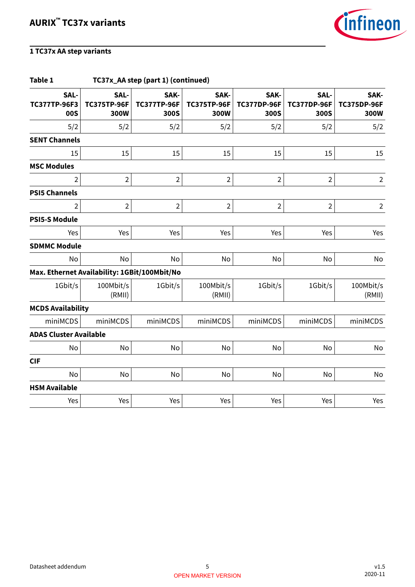

| TC37x_AA step (part 1) (continued)<br>Table 1 |                                    |                                    |                                    |                                    |                                    |                                    |
|-----------------------------------------------|------------------------------------|------------------------------------|------------------------------------|------------------------------------|------------------------------------|------------------------------------|
| SAL-<br><b>TC377TP-96F3</b><br><b>00S</b>     | SAL-<br><b>TC375TP-96F</b><br>300W | SAK-<br><b>TC377TP-96F</b><br>300S | SAK-<br><b>TC375TP-96F</b><br>300W | SAK-<br><b>TC377DP-96F</b><br>300S | SAL-<br><b>TC377DP-96F</b><br>300S | SAK-<br><b>TC375DP-96F</b><br>300W |
| 5/2                                           | 5/2                                | 5/2                                | 5/2                                | 5/2                                | 5/2                                | 5/2                                |
| <b>SENT Channels</b>                          |                                    |                                    |                                    |                                    |                                    |                                    |
| 15                                            | 15                                 | 15                                 | 15                                 | 15                                 | 15                                 | 15                                 |
| <b>MSC Modules</b>                            |                                    |                                    |                                    |                                    |                                    |                                    |
| 2                                             | $\overline{2}$                     | $\overline{2}$                     | $\overline{2}$                     | $\overline{2}$                     | $\overline{2}$                     | $\overline{2}$                     |
| <b>PSI5 Channels</b>                          |                                    |                                    |                                    |                                    |                                    |                                    |
| 2                                             | $\overline{2}$                     | $\overline{2}$                     | $\overline{2}$                     | $\overline{2}$                     | $\overline{2}$                     | $\overline{2}$                     |
| <b>PSI5-S Module</b>                          |                                    |                                    |                                    |                                    |                                    |                                    |
| Yes                                           | Yes                                | Yes                                | Yes                                | Yes                                | Yes                                | Yes                                |
| <b>SDMMC Module</b>                           |                                    |                                    |                                    |                                    |                                    |                                    |
| No                                            | No                                 | No                                 | No                                 | No                                 | No                                 | No                                 |
| Max. Ethernet Availability: 1GBit/100Mbit/No  |                                    |                                    |                                    |                                    |                                    |                                    |
| 1Gbit/s                                       | 100Mbit/s<br>(RMII)                | 1Gbit/s                            | 100Mbit/s<br>(RMII)                | 1Gbit/s                            | 1Gbit/s                            | 100Mbit/s<br>(RMII)                |
| <b>MCDS Availability</b>                      |                                    |                                    |                                    |                                    |                                    |                                    |
| miniMCDS                                      | miniMCDS                           | miniMCDS                           | miniMCDS                           | miniMCDS                           | miniMCDS                           | miniMCDS                           |
| <b>ADAS Cluster Available</b>                 |                                    |                                    |                                    |                                    |                                    |                                    |
| No                                            | No                                 | No                                 | No                                 | No                                 | No                                 | No                                 |
| <b>CIF</b>                                    |                                    |                                    |                                    |                                    |                                    |                                    |
| <b>No</b>                                     | No                                 | No                                 | No                                 | No                                 | No                                 | No                                 |
| <b>HSM Available</b>                          |                                    |                                    |                                    |                                    |                                    |                                    |
| Yes                                           | Yes                                | Yes                                | Yes                                | Yes                                | Yes                                | Yes                                |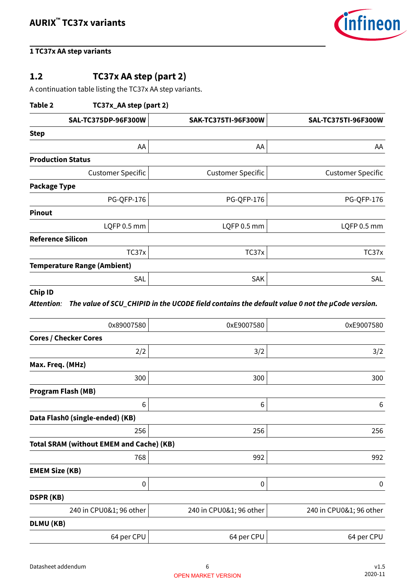

### <span id="page-5-0"></span>**1.2 TC37x AA step (part 2)**

A continuation table listing the TC37x AA step variants.

| Table 2                  | TC37x_AA step (part 2)             |                            |                            |
|--------------------------|------------------------------------|----------------------------|----------------------------|
|                          | SAL-TC375DP-96F300W                | <b>SAK-TC375TI-96F300W</b> | <b>SAL-TC375TI-96F300W</b> |
| <b>Step</b>              |                                    |                            |                            |
|                          | AA                                 | AA                         | AA                         |
| <b>Production Status</b> |                                    |                            |                            |
|                          | <b>Customer Specific</b>           | <b>Customer Specific</b>   | <b>Customer Specific</b>   |
| <b>Package Type</b>      |                                    |                            |                            |
|                          | <b>PG-QFP-176</b>                  | <b>PG-QFP-176</b>          | <b>PG-QFP-176</b>          |
| <b>Pinout</b>            |                                    |                            |                            |
|                          | LQFP 0.5 mm                        | LQFP 0.5 mm                | LQFP 0.5 mm                |
| <b>Reference Silicon</b> |                                    |                            |                            |
|                          | TC37x                              | TC37x                      | TC37x                      |
|                          | <b>Temperature Range (Ambient)</b> |                            |                            |
|                          | SAL                                | <b>SAK</b>                 | SAL                        |
|                          |                                    |                            |                            |

#### **Chip ID**

**Attention**: **The value of SCU\_CHIPID in the UCODE field contains the default value 0 not the µCode version.**

| 0x89007580                                      | 0xE9007580              | 0xE9007580              |
|-------------------------------------------------|-------------------------|-------------------------|
| <b>Cores / Checker Cores</b>                    |                         |                         |
| 2/2                                             | 3/2                     | 3/2                     |
| Max. Freq. (MHz)                                |                         |                         |
| 300                                             | 300                     | 300                     |
| <b>Program Flash (MB)</b>                       |                         |                         |
| 6                                               | 6                       | 6                       |
| Data Flash0 (single-ended) (KB)                 |                         |                         |
| 256                                             | 256                     | 256                     |
| <b>Total SRAM (without EMEM and Cache) (KB)</b> |                         |                         |
| 768                                             | 992                     | 992                     |
| <b>EMEM Size (KB)</b>                           |                         |                         |
| 0                                               | $\mathbf 0$             | 0                       |
| <b>DSPR (KB)</b>                                |                         |                         |
| 240 in CPU0&1; 96 other                         | 240 in CPU0&1; 96 other | 240 in CPU0&1; 96 other |
| DLMU (KB)                                       |                         |                         |
| 64 per CPU                                      | 64 per CPU              | 64 per CPU              |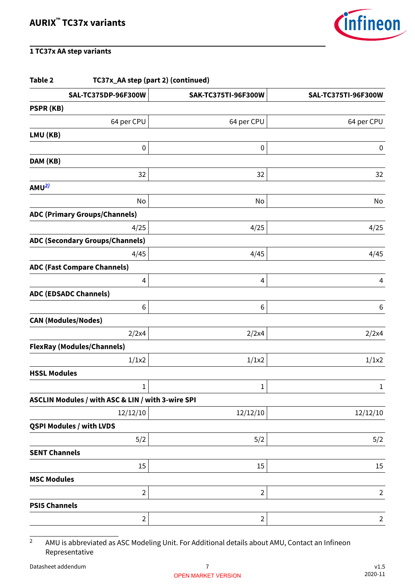

| Table 2                                           | TC37x_AA step (part 2) (continued) |                     |  |  |  |
|---------------------------------------------------|------------------------------------|---------------------|--|--|--|
| SAL-TC375DP-96F300W                               | SAK-TC375TI-96F300W                | SAL-TC375TI-96F300W |  |  |  |
| PSPR (KB)                                         |                                    |                     |  |  |  |
| 64 per CPU                                        | 64 per CPU                         | 64 per CPU          |  |  |  |
| LMU (KB)                                          |                                    |                     |  |  |  |
| $\pmb{0}$                                         | 0                                  | $\pmb{0}$           |  |  |  |
| DAM (KB)                                          |                                    |                     |  |  |  |
| 32                                                | 32                                 | 32                  |  |  |  |
| AMU <sup>2)</sup>                                 |                                    |                     |  |  |  |
| No                                                | No                                 | No                  |  |  |  |
| <b>ADC (Primary Groups/Channels)</b>              |                                    |                     |  |  |  |
| 4/25                                              | 4/25                               | 4/25                |  |  |  |
| <b>ADC (Secondary Groups/Channels)</b>            |                                    |                     |  |  |  |
| 4/45                                              | 4/45                               | 4/45                |  |  |  |
| <b>ADC (Fast Compare Channels)</b>                |                                    |                     |  |  |  |
| 4                                                 | $\overline{4}$                     | $\overline{4}$      |  |  |  |
| <b>ADC (EDSADC Channels)</b>                      |                                    |                     |  |  |  |
| 6                                                 | 6                                  | $\,6$               |  |  |  |
| <b>CAN (Modules/Nodes)</b>                        |                                    |                     |  |  |  |
| 2/2x4                                             | 2/2x4                              | 2/2x4               |  |  |  |
| <b>FlexRay (Modules/Channels)</b>                 |                                    |                     |  |  |  |
| 1/1x2                                             | 1/1x2                              | 1/1x2               |  |  |  |
| <b>HSSL Modules</b>                               |                                    |                     |  |  |  |
| $\mathbf{1}$                                      | $\mathbf{1}$                       | $\mathbf{1}$        |  |  |  |
| ASCLIN Modules / with ASC & LIN / with 3-wire SPI |                                    |                     |  |  |  |
| 12/12/10                                          | 12/12/10                           | 12/12/10            |  |  |  |
| <b>QSPI Modules / with LVDS</b>                   |                                    |                     |  |  |  |
| 5/2                                               | 5/2                                | 5/2                 |  |  |  |
| <b>SENT Channels</b>                              |                                    |                     |  |  |  |
| 15                                                | 15                                 | 15                  |  |  |  |
| <b>MSC Modules</b>                                |                                    |                     |  |  |  |
| $\overline{2}$                                    | $\overline{2}$                     | $\overline{2}$      |  |  |  |
| <b>PSI5 Channels</b>                              |                                    |                     |  |  |  |
| $\overline{2}$                                    | $\mathbf 2$                        | $\overline{2}$      |  |  |  |

 $\overline{2}$  AMU is abbreviated as ASC Modeling Unit. For Additional details about AMU, Contact an Infineon Representative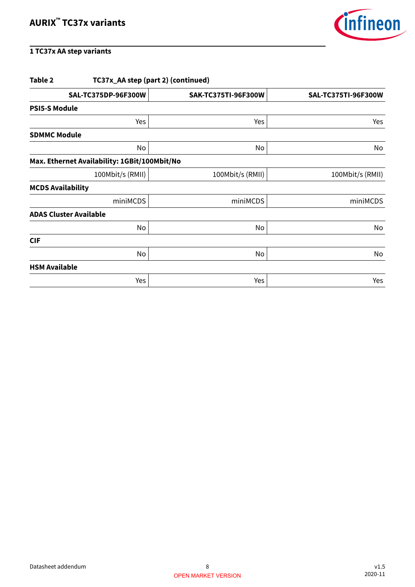

| SAK-TC375TI-96F300W  | SAL-TC375TI-96F300W                                                                                                                                                 |  |  |  |  |
|----------------------|---------------------------------------------------------------------------------------------------------------------------------------------------------------------|--|--|--|--|
| <b>PSI5-S Module</b> |                                                                                                                                                                     |  |  |  |  |
| Yes                  | Yes                                                                                                                                                                 |  |  |  |  |
|                      |                                                                                                                                                                     |  |  |  |  |
| No                   | No                                                                                                                                                                  |  |  |  |  |
|                      |                                                                                                                                                                     |  |  |  |  |
| 100Mbit/s (RMII)     | 100Mbit/s (RMII)                                                                                                                                                    |  |  |  |  |
|                      |                                                                                                                                                                     |  |  |  |  |
| miniMCDS             | miniMCDS                                                                                                                                                            |  |  |  |  |
|                      |                                                                                                                                                                     |  |  |  |  |
| No                   | No                                                                                                                                                                  |  |  |  |  |
|                      |                                                                                                                                                                     |  |  |  |  |
| No                   | No                                                                                                                                                                  |  |  |  |  |
|                      |                                                                                                                                                                     |  |  |  |  |
| Yes                  | Yes                                                                                                                                                                 |  |  |  |  |
|                      | TC37x_AA step (part 2) (continued)<br>SAL-TC375DP-96F300W<br>Yes<br>No<br>Max. Ethernet Availability: 1GBit/100Mbit/No<br>100Mbit/s (RMII)<br>miniMCDS<br>No<br>Yes |  |  |  |  |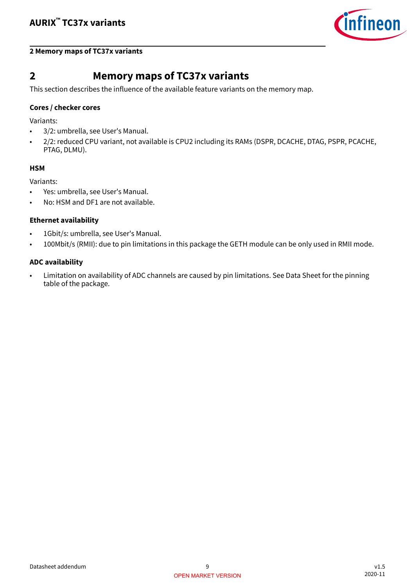

#### <span id="page-8-0"></span>**2 Memory maps of TC37x variants**

### **2 Memory maps of TC37x variants**

This section describes the influence of the available feature variants on the memory map.

#### **Cores / checker cores**

Variants:

- 3/2: umbrella, see User's Manual.
- 2/2: reduced CPU variant, not available is CPU2 including its RAMs (DSPR, DCACHE, DTAG, PSPR, PCACHE, PTAG, DLMU).

#### **HSM**

Variants:

- Yes: umbrella, see User's Manual.
- No: HSM and DF1 are not available.

#### **Ethernet availability**

- 1Gbit/s: umbrella, see User's Manual.
- 100Mbit/s (RMII): due to pin limitations in this package the GETH module can be only used in RMII mode.

#### **ADC availability**

• Limitation on availability of ADC channels are caused by pin limitations. See Data Sheet for the pinning table of the package.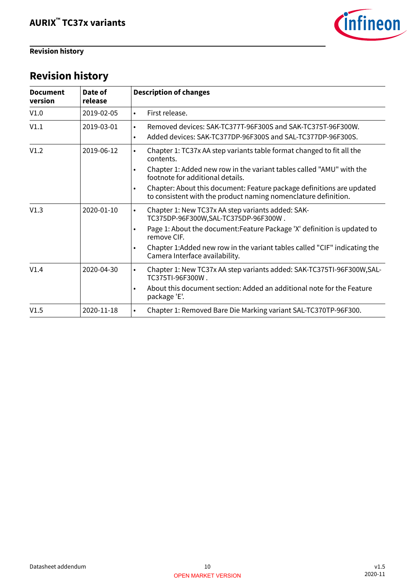

### <span id="page-9-0"></span>**Revision history**

## **Revision history**

| <b>Document</b><br>version | Date of<br>release | <b>Description of changes</b>                                                                                                                        |
|----------------------------|--------------------|------------------------------------------------------------------------------------------------------------------------------------------------------|
| V1.0                       | 2019-02-05         | First release.<br>$\bullet$                                                                                                                          |
| V1.1                       | 2019-03-01         | Removed devices: SAK-TC377T-96F300S and SAK-TC375T-96F300W.<br>$\bullet$<br>Added devices: SAK-TC377DP-96F300S and SAL-TC377DP-96F300S.<br>$\bullet$ |
| V1.2                       | 2019-06-12         | Chapter 1: TC37x AA step variants table format changed to fit all the<br>$\bullet$<br>contents.                                                      |
|                            |                    | Chapter 1: Added new row in the variant tables called "AMU" with the<br>footnote for additional details.                                             |
|                            |                    | Chapter: About this document: Feature package definitions are updated<br>$\bullet$<br>to consistent with the product naming nomenclature definition. |
| V1.3                       | $2020 - 01 - 10$   | Chapter 1: New TC37x AA step variants added: SAK-<br>$\bullet$<br>TC375DP-96F300W,SAL-TC375DP-96F300W.                                               |
|                            |                    | Page 1: About the document: Feature Package 'X' definition is updated to<br>remove CIF.                                                              |
|                            |                    | Chapter 1: Added new row in the variant tables called "CIF" indicating the<br>$\bullet$<br>Camera Interface availability.                            |
| V1.4                       | 2020-04-30         | Chapter 1: New TC37x AA step variants added: SAK-TC375TI-96F300W, SAL-<br>$\bullet$<br>TC375TI-96F300W.                                              |
|                            |                    | About this document section: Added an additional note for the Feature<br>$\bullet$<br>package 'E'.                                                   |
| V1.5                       | 2020-11-18         | Chapter 1: Removed Bare Die Marking variant SAL-TC370TP-96F300.<br>$\bullet$                                                                         |